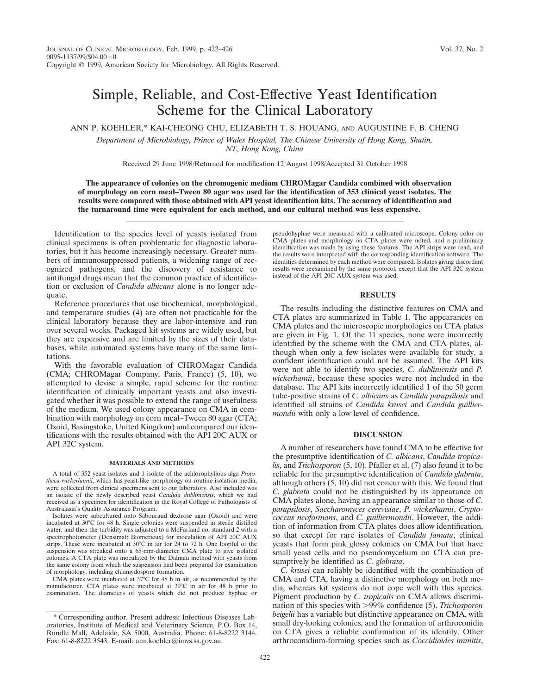# Simple, Reliable, and Cost-Effective Yeast Identification Scheme for the Clinical Laboratory

ANN P. KOEHLER,\* KAI-CHEONG CHU, ELIZABETH T. S. HOUANG, AND AUGUSTINE F. B. CHENG

*Department of Microbiology, Prince of Wales Hospital, The Chinese University of Hong Kong, Shatin, NT, Hong Kong, China*

Received 29 June 1998/Returned for modification 12 August 1998/Accepted 31 October 1998

**The appearance of colonies on the chromogenic medium CHROMagar Candida combined with observation of morphology on corn meal–Tween 80 agar was used for the identification of 353 clinical yeast isolates. The results were compared with those obtained with API yeast identification kits. The accuracy of identification and the turnaround time were equivalent for each method, and our cultural method was less expensive.**

Identification to the species level of yeasts isolated from clinical specimens is often problematic for diagnostic laboratories, but it has become increasingly necessary. Greater numbers of immunosuppressed patients, a widening range of recognized pathogens, and the discovery of resistance to antifungal drugs mean that the common practice of identification or exclusion of *Candida albicans* alone is no longer adequate.

Reference procedures that use biochemical, morphological, and temperature studies (4) are often not practicable for the clinical laboratory because they are labor-intensive and run over several weeks. Packaged kit systems are widely used, but they are expensive and are limited by the sizes of their databases, while automated systems have many of the same limitations.

With the favorable evaluation of CHROMagar Candida (CMA; CHROMagar Company, Paris, France) (5, 10), we attempted to devise a simple, rapid scheme for the routine identification of clinically important yeasts and also investigated whether it was possible to extend the range of usefulness of the medium. We used colony appearance on CMA in combination with morphology on corn meal–Tween 80 agar (CTA; Oxoid, Basingstoke, United Kingdom) and compared our identifications with the results obtained with the API 20C AUX or API 32C system.

## **MATERIALS AND METHODS**

A total of 352 yeast isolates and 1 isolate of the achlorophyllous alga *Prototheca wickerhamii*, which has yeast-like morphology on routine isolation media, were collected from clinical specimens sent to our laboratory. Also included was an isolate of the newly described yeast *Candida dubliniensis*, which we had received as a specimen for identification in the Royal College of Pathologists of Australasia's Quality Assurance Program.

Isolates were subcultured onto Sabouraud dextrose agar (Oxoid) and were incubated at 30°C for 48 h. Single colonies were suspended in sterile distilled water, and then the turbidity was adjusted to a McFarland no. standard 2 with a spectrophotometer (Densimat; Biomerieux) for inoculation of API 20C AUX strips. These were incubated at 30°C in air for 24 to 72 h. One loopful of the suspension was streaked onto a 65-mm-diameter CMA plate to give isolated colonies. A CTA plate was inoculated by the Dalmau method with yeasts from the same colony from which the suspension had been prepared for examination of morphology, including chlamydospore formation.

CMA plates were incubated at 37°C for 48 h in air, as recommended by the manufacturer. CTA plates were incubated at 30°C in air for 48 h prior to examination. The diameters of yeasts which did not produce hyphae or pseudohyphae were measured with a calibrated microscope. Colony color on CMA plates and morphology on CTA plates were noted, and a preliminary identification was made by using these features. The API strips were read, and the results were interpreted with the corresponding identification software. The identities determined by each method were compared. Isolates giving discordant results were reexamined by the same protocol, except that the API 32C system instead of the API 20C AUX system was used.

# **RESULTS**

The results including the distinctive features on CMA and CTA plates are summarized in Table 1. The appearances on CMA plates and the microscopic morphologies on CTA plates are given in Fig. 1. Of the 11 species, none were incorrectly identified by the scheme with the CMA and CTA plates, although when only a few isolates were available for study, a confident identification could not be assumed. The API kits were not able to identify two species, *C. dubliniensis* and *P. wickerhamii*, because these species were not included in the database. The API kits incorrectly identified 1 of the 50 germ tube-positive strains of *C. albicans* as *Candida parapsilosis* and identified all strains of *Candida krusei* and *Candida guilliermondii* with only a low level of confidence.

## **DISCUSSION**

A number of researchers have found CMA to be effective for the presumptive identification of *C. albicans*, *Candida tropicalis*, and *Trichosporon* (5, 10). Pfaller et al. (7) also found it to be reliable for the presumptive identification of *Candida glabrata*, although others (5, 10) did not concur with this. We found that *C. glabrata* could not be distinguished by its appearance on CMA plates alone, having an appearance similar to those of *C. parapsilosis*, *Saccharomyces cerevisiae*, *P. wickerhamii*, *Cryptococcus neoformans*, and *C. guilliermondii*. However, the addition of information from CTA plates does allow identification, so that except for rare isolates of *Candida famata*, clinical yeasts that form pink glossy colonies on CMA but that have small yeast cells and no pseudomycelium on CTA can presumptively be identified as *C. glabrata*.

*C. krusei* can reliably be identified with the combination of CMA and CTA, having a distinctive morphology on both media, whereas kit systems do not cope well with this species. Pigment production by *C. tropicalis* on CMA allows discrimination of this species with  $>99\%$  confidence (5). *Trichosporon beigelii* has a variable but distinctive appearance on CMA, with small dry-looking colonies, and the formation of arthroconidia on CTA gives a reliable confirmation of its identity. Other arthroconidium-forming species such as *Coccidioides immitis*,

<sup>\*</sup> Corresponding author. Present address: Infectious Diseases Laboratories, Institute of Medical and Veterinary Science, P.O. Box 14, Rundle Mall, Adelaide, SA 5000, Australia. Phone: 61-8-8222 3144. Fax: 61-8-8222 3543. E-mail: ann.koehler@imvs.sa.gov.au.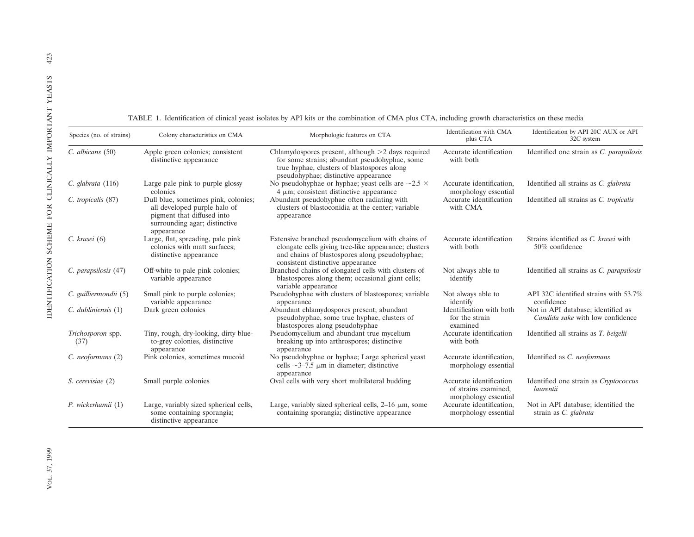|  |  |  |  |  |  |  |  |  |  |  | TABLE 1. Identification of clinical veast isolates by API kits or the combination of CMA plus CTA, including growth characteristics on these media |  |  |
|--|--|--|--|--|--|--|--|--|--|--|----------------------------------------------------------------------------------------------------------------------------------------------------|--|--|
|--|--|--|--|--|--|--|--|--|--|--|----------------------------------------------------------------------------------------------------------------------------------------------------|--|--|

| Species (no. of strains)  | Colony characteristics on CMA                                                                                                                     | Morphologic features on CTA                                                                                                                                                                     | Identification with CMA<br>plus CTA                                     | Identification by API 20C AUX or API<br>32C system                     |
|---------------------------|---------------------------------------------------------------------------------------------------------------------------------------------------|-------------------------------------------------------------------------------------------------------------------------------------------------------------------------------------------------|-------------------------------------------------------------------------|------------------------------------------------------------------------|
| C. albicans (50)          | Apple green colonies; consistent<br>distinctive appearance                                                                                        | Chlamydospores present, although $>2$ days required<br>for some strains; abundant pseudohyphae, some<br>true hyphae, clusters of blastospores along<br>pseudohyphae; distinctive appearance     | Accurate identification<br>with both                                    | Identified one strain as C. parapsilosis                               |
| $C.$ glabrata $(116)$     | Large pale pink to purple glossy<br>colonies                                                                                                      | No pseudohyphae or hyphae; yeast cells are $\sim$ 2.5 $\times$<br>$4 \mu m$ ; consistent distinctive appearance                                                                                 | Accurate identification.<br>morphology essential                        | Identified all strains as C. glabrata                                  |
| C. tropicalis (87)        | Dull blue, sometimes pink, colonies;<br>all developed purple halo of<br>pigment that diffused into<br>surrounding agar; distinctive<br>appearance | Abundant pseudohyphae often radiating with<br>clusters of blastoconidia at the center; variable<br>appearance                                                                                   | Accurate identification<br>with CMA                                     | Identified all strains as C. tropicalis                                |
| $C.$ krusei $(6)$         | Large, flat, spreading, pale pink<br>colonies with matt surfaces;<br>distinctive appearance                                                       | Extensive branched pseudomycelium with chains of<br>elongate cells giving tree-like appearance; clusters<br>and chains of blastospores along pseudohyphae;<br>consistent distinctive appearance | Accurate identification<br>with both                                    | Strains identified as C. krusei with<br>50% confidence                 |
| C. parapsilosis (47)      | Off-white to pale pink colonies;<br>variable appearance                                                                                           | Branched chains of elongated cells with clusters of<br>blastospores along them; occasional giant cells;<br>variable appearance                                                                  | Not always able to<br>identify                                          | Identified all strains as C. parapsilosis                              |
| C. guilliermondii (5)     | Small pink to purple colonies;<br>variable appearance                                                                                             | Pseudohyphae with clusters of blastospores; variable<br>appearance                                                                                                                              | Not always able to<br>identify                                          | API 32C identified strains with 53.7%<br>confidence                    |
| $C.$ dubliniensis $(1)$   | Dark green colonies                                                                                                                               | Abundant chlamydospores present; abundant<br>pseudohyphae, some true hyphae, clusters of<br>blastospores along pseudohyphae                                                                     | Identification with both<br>for the strain<br>examined                  | Not in API database; identified as<br>Candida sake with low confidence |
| Trichosporon spp.<br>(37) | Tiny, rough, dry-looking, dirty blue-<br>to-grey colonies, distinctive<br>appearance                                                              | Pseudomycelium and abundant true mycelium<br>breaking up into arthrospores; distinctive<br>appearance                                                                                           | Accurate identification<br>with both                                    | Identified all strains as T. beigelii                                  |
| C. neoformans (2)         | Pink colonies, sometimes mucoid                                                                                                                   | No pseudohyphae or hyphae; Large spherical yeast<br>cells $\sim$ 3–7.5 $\mu$ m in diameter; distinctive<br>appearance                                                                           | Accurate identification,<br>morphology essential                        | Identified as C. neoformans                                            |
| S. cerevisiae (2)         | Small purple colonies                                                                                                                             | Oval cells with very short multilateral budding                                                                                                                                                 | Accurate identification<br>of strains examined,<br>morphology essential | Identified one strain as Cryptococcus<br>laurentii                     |
| P. wickerhamii (1)        | Large, variably sized spherical cells,<br>some containing sporangia;<br>distinctive appearance                                                    | Large, variably sized spherical cells, $2-16 \mu m$ , some<br>containing sporangia; distinctive appearance                                                                                      | Accurate identification,<br>morphology essential                        | Not in API database; identified the<br>strain as C. glabrata           |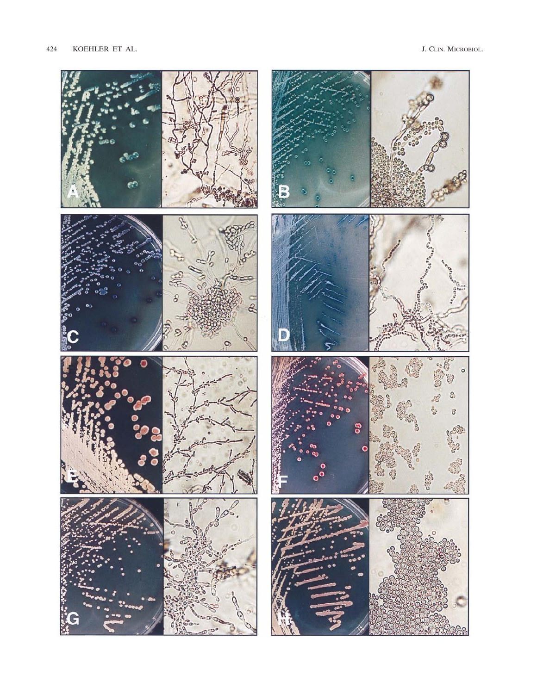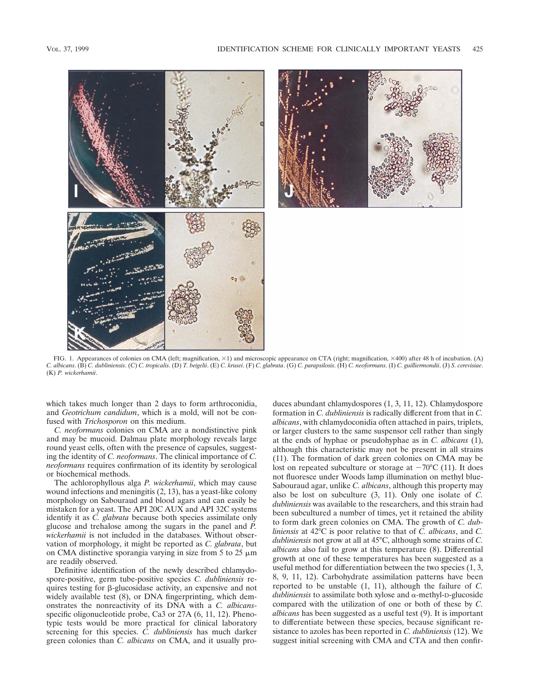

FIG. 1. Appearances of colonies on CMA (left; magnification,  $\times$ 1) and microscopic appearance on CTA (right; magnification,  $\times$ 400) after 48 h of incubation. (A) C. albicans. (B) C. dubliniensis. (C) C. tropicalis. (D) T. beigelii. (E) C. krusei. (F) C. glabrata. (G) C. parapsilosis. (H) C. neoformans. (I) C. guilliermondii. (J) S. cerevisiae. (K) *P. wickerhamii*.

which takes much longer than 2 days to form arthroconidia, and *Geotrichum candidum*, which is a mold, will not be confused with *Trichosporon* on this medium.

*C. neoformans* colonies on CMA are a nondistinctive pink and may be mucoid. Dalmau plate morphology reveals large round yeast cells, often with the presence of capsules, suggesting the identity of *C. neoformans*. The clinical importance of *C. neoformans* requires confirmation of its identity by serological or biochemical methods.

The achlorophyllous alga *P. wickerhamii*, which may cause wound infections and meningitis (2, 13), has a yeast-like colony morphology on Sabouraud and blood agars and can easily be mistaken for a yeast. The API 20C AUX and API 32C systems identify it as *C. glabrata* because both species assimilate only glucose and trehalose among the sugars in the panel and *P. wickerhamii* is not included in the databases. Without observation of morphology, it might be reported as *C. glabrata*, but on CMA distinctive sporangia varying in size from 5 to 25  $\mu$ m are readily observed.

Definitive identification of the newly described chlamydospore-positive, germ tube-positive species *C. dubliniensis* requires testing for  $\beta$ -glucosidase activity, an expensive and not widely available test  $(8)$ , or DNA fingerprinting, which demonstrates the nonreactivity of its DNA with a *C. albicans*specific oligonucleotide probe, Ca3 or 27A (6, 11, 12). Phenotypic tests would be more practical for clinical laboratory screening for this species. *C. dubliniensis* has much darker green colonies than *C. albicans* on CMA, and it usually produces abundant chlamydospores (1, 3, 11, 12). Chlamydospore formation in *C. dubliniensis* is radically different from that in *C. albicans*, with chlamydoconidia often attached in pairs, triplets, or larger clusters to the same suspensor cell rather than singly at the ends of hyphae or pseudohyphae as in *C. albicans* (1), although this characteristic may not be present in all strains (11). The formation of dark green colonies on CMA may be lost on repeated subculture or storage at  $-70^{\circ}$ C (11). It does not fluoresce under Woods lamp illumination on methyl blue-Sabouraud agar, unlike *C. albicans*, although this property may also be lost on subculture (3, 11). Only one isolate of *C. dubliniensis* was available to the researchers, and this strain had been subcultured a number of times, yet it retained the ability to form dark green colonies on CMA. The growth of *C. dubliniensis* at 42°C is poor relative to that of *C. albicans*, and *C. dubliniensis* not grow at all at 45°C, although some strains of *C. albicans* also fail to grow at this temperature (8). Differential growth at one of these temperatures has been suggested as a useful method for differentiation between the two species (1, 3, 8, 9, 11, 12). Carbohydrate assimilation patterns have been reported to be unstable (1, 11), although the failure of *C. to assimilate both xylose and*  $\alpha$ *-methyl-p-glucoside* compared with the utilization of one or both of these by *C. albicans* has been suggested as a useful test (9). It is important to differentiate between these species, because significant resistance to azoles has been reported in *C. dubliniensis* (12). We suggest initial screening with CMA and CTA and then confir